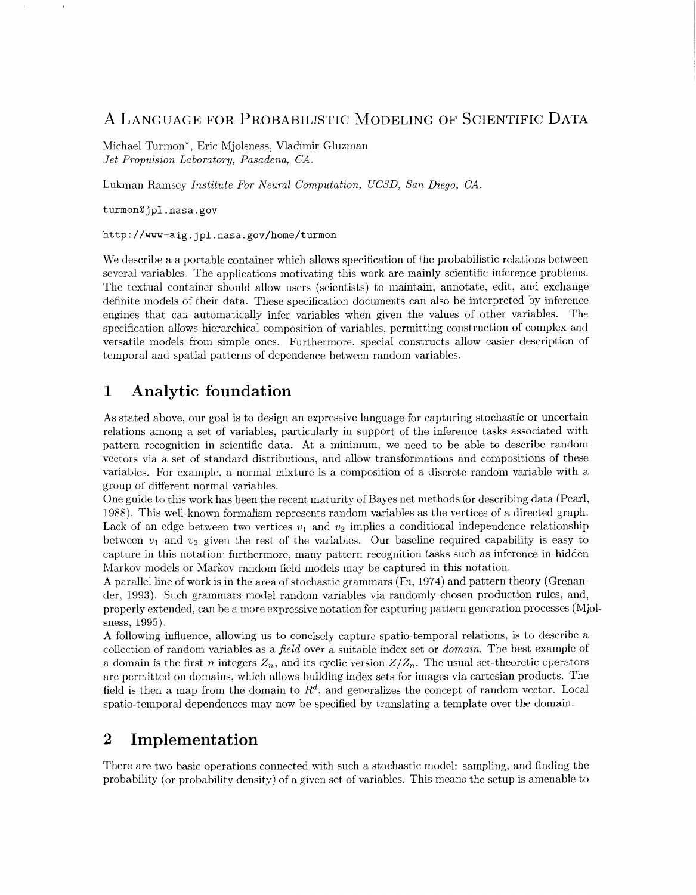## A LANGUAGE FOR PROBABILISTIC MODELING OF SCIENTIFIC DATA

Michael Turmon\*, Eric Mjolsness, Vladimir Gluzman *Jet Propulsion Laboratory, Pasadena, CA.* 

Lukman Ramsey *Institute For Neural Computation, UCSD, San Diego, CA.* 

[turmon@jpl.nasa.gov](mailto:turmon@jpl.nasa.gov)

<http://www-aig.jpl.nasa.gov/home/turmon>

We describe a a portable container which allows specification of the probabilistic relations between several variables. The applications motivating this work are mainly scientific inference problems. The textual container should allow users (scientists) to maintain, annotate, edit, and exchange definite models of their data. These specification documents can also be interpreted by inference engines that can automatically infer variables when given the values of other variables. The specification allows hierarchical composition of variables, permitting construction of complex and versatile models from simple ones. Furthermore, special constructs allow easier description of temporal and spatial patterns of dependence between random variables.

# **1** Analytic foundation

As stated above, our goal is to design an expressive language for capturing stochastic or uncertain relations among a set of variables, particularly in support of the inference tasks associated with pattern recognition in scientific data. At a minimum, we need to be able to describe random vectors via a set of standard distributions, and allow transformations and compositions of these variables. For example, a normal mixture is a composition of a discrete random variable with a group of different normal variables.

One guide to this work has been the recent maturity of Bayes net methods for describing data (Pearl, 1988). This well-known formalism represents random variables as the vertices of a directed graph. Lack of an edge between two vertices  $v_1$  and  $v_2$  implies a conditional independence relationship between  $v_1$  and  $v_2$  given the rest of the variables. Our baseline required capability is easy to capture in this notation; furthermore, many pattern recognition tasks such as inference in hidden Markov models or Markov random field models may be captured in this notation.

**A** parallel line of work is in the area of stochastic grammars (Fu, 1974) and pattern theory (Grenander, 1993). Such grammars model random variables via randomly chosen production rules, and, properly extended, can be a more expressive notation for capturing pattern generation processes (Mjolsness, 1995).

A following influence, allowing us to concisely capture spatio-temporal relations, is to describe a collection of random variables as a *field* over a suitable index set or *domain.* The best example of a domain is the first *n* integers  $Z_n$ , and its cyclic version  $Z/Z_n$ . The usual set-theoretic operators are permitted on domains, which allows building index sets for images via cartesian products. The field is then a map from the domain to  $R<sup>d</sup>$ , and generalizes the concept of random vector. Local spatio-temporal dependences may now be specified by translating a template over the domain.

### 2 Implementation

There are two basic operations connected with such a stochastic model: sampling, and finding the probability (or probability density) of a given set of variables. This means the setup is amenable to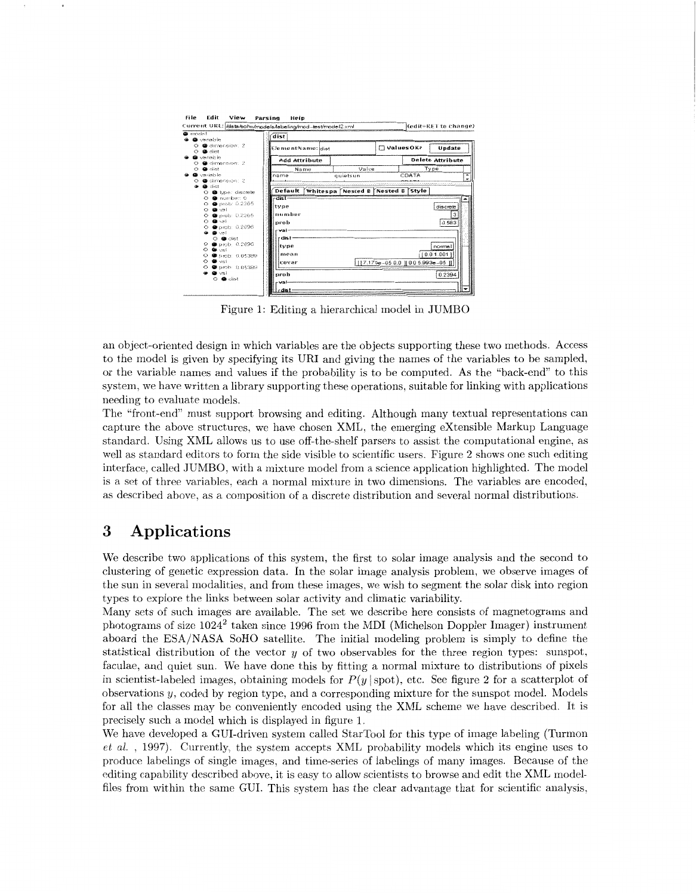| <b>G</b> vanable                                | dist                                     |          |                                     |       |                         |
|-------------------------------------------------|------------------------------------------|----------|-------------------------------------|-------|-------------------------|
| O @ dimension: 2<br>$O$ $Q$ dist                | ElementName: dist                        |          | ValuesOK?                           |       | Update                  |
| <b>Q</b> variable<br>O ● dimension: 2           | Add Attribute                            |          |                                     |       | <b>Delete Attribute</b> |
| $O$ <b>@</b> dist                               | Name                                     | Value    |                                     |       | Type                    |
| <b>So</b> variable                              | name                                     | quietsun |                                     | CDATA |                         |
| @ dimension: 2                                  |                                          |          |                                     |       |                         |
| <b>Co</b> dist<br>œ.<br>O @ type: discrete      | Default Whitespa Nested B Nested B Style |          |                                     |       |                         |
| O @ number: 6                                   | $-dist-$                                 |          |                                     |       |                         |
| $O$ $\bullet$ prob: 0.2365                      |                                          |          |                                     |       |                         |
| $O$ $\bullet$ $v_3$                             | tvne                                     |          |                                     |       | discrete                |
| <b>@</b> prob: 0.2365<br>$\circ$                | number                                   |          |                                     |       | 3                       |
| $O$ <b>@</b> $vs.$                              | prob                                     |          |                                     |       | 0.583                   |
| O @ prob: 0.2096                                | val-                                     |          |                                     |       |                         |
| $\bullet$ $\bullet$ $\vee$<br>$O$ <b>a</b> dist | dist.                                    |          |                                     |       |                         |
| $O$ @ prob. $0.2096$                            |                                          |          |                                     |       |                         |
| $O$ $\bullet$ $m$                               | type                                     |          |                                     |       | normal                  |
| @ prob: 0.05389                                 | mean                                     |          |                                     |       | [0.01.001]              |
| $\circ$ $\bullet$ val                           | covar                                    |          | [17.175e-05 0.0 ] [0.0 5.993e-05 ]] |       |                         |
| O @ brob: 0.05389                               |                                          |          |                                     |       |                         |
| $\bullet$ $\bullet$ $\vee$ $\circ$              | nroh                                     |          |                                     |       | 0.2394                  |
| $O$ <b>a</b> dist                               | val                                      |          |                                     |       |                         |

Figure I: Editing a hierarchical model in JUMBO

an object-oriented design in which variables are the objects supporting these two methods. Access to the model is given by specifying its URI and giving the names of the variables to be sampled, or the variable names and values if the probability is to be computed. As the "back-end" to this system, we have written a library supporting these operations, suitable for linking with applications needing to evaluate models.

The "front-end" must support browsing and editing. Although many textual representations can capture the above structures, we have chosen XML, the emerging eXtensible Markup Language standard. Using XML allows us to use off-the-shelf parsers to assist the computational engine, as well as standard editors to form the side visible to scientific users. Figure 2 shows one such editing interface, called JUMBO, with a mixture model from a science application highlighted. The model is a set of three variables, each a normal mixture in two dimensions. The variables are encoded, as described above, as a composition of a discrete distribution and several normal distributions.

# **3 Applications**

We describe two applications of this system, the first to solar image analysis and the second to clustering of genetic expression data. In the solar image analysis problem, we observe images of the sun in several modalities, and from these images, we wish to segment the solar disk into region types to explore the links between solar activity and climatic variability.

Many sets of such images are available. The set we describe here consists of magnetograms and photograms of size  $1024^2$  taken since 1996 from the MDI (Michelson Doppler Imager) instrument aboard the ESA/NASA SoHO satellite. The initial modeling problem is simply to define the statistical distribution of the vector  $y$  of two observables for the three region types: sunspot, faculae, and quiet sun. We have done this by fitting a normal mixture to distributions of pixels in scientist-labeled images, obtaining models for  $P(y \mid spot)$ , etc. See figure 2 for a scatterplot of observations y, coded by region type, and a corresponding mixture for the sunspot model. Models for all the classes may be conveniently encoded using the XML scheme we have described. It is precisely such a model which is displayed in figure 1.

We have developed a GUI-driven system called StarTool for this type of image labeling (Turmon *et al.*, 1997). Currently, the system accepts XML probability models which its engine uses to produce labelings of single images, and tirne-series of labelings of many images. Because of the editing capability described above, it is easy to allow scientists to browse and edit the XML modelfiles from within the same GUI. This system has the clear advantage that for scientific analysis.